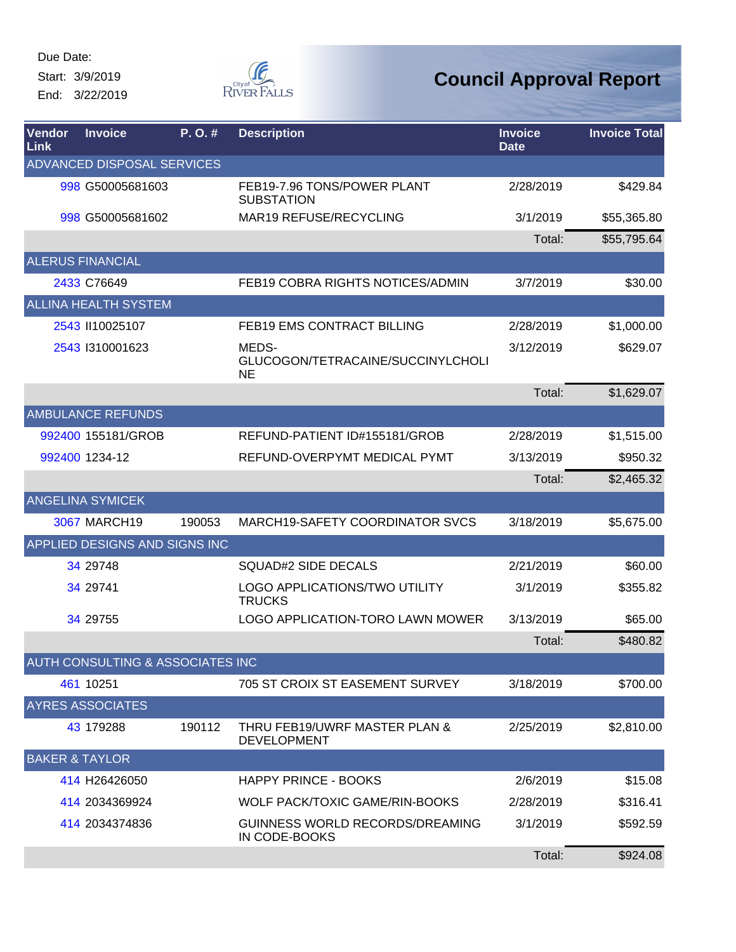Start: 3/9/2019 End: 3/22/2019



| Vendor<br>Link | <b>Invoice</b>                   | P.O.#  | <b>Description</b>                                      | <b>Invoice</b><br><b>Date</b> | <b>Invoice Total</b> |
|----------------|----------------------------------|--------|---------------------------------------------------------|-------------------------------|----------------------|
|                | ADVANCED DISPOSAL SERVICES       |        |                                                         |                               |                      |
|                | 998 G50005681603                 |        | FEB19-7.96 TONS/POWER PLANT<br><b>SUBSTATION</b>        | 2/28/2019                     | \$429.84             |
|                | 998 G50005681602                 |        | <b>MAR19 REFUSE/RECYCLING</b>                           | 3/1/2019                      | \$55,365.80          |
|                |                                  |        |                                                         | Total:                        | \$55,795.64          |
|                | <b>ALERUS FINANCIAL</b>          |        |                                                         |                               |                      |
|                | 2433 C76649                      |        | FEB19 COBRA RIGHTS NOTICES/ADMIN                        | 3/7/2019                      | \$30.00              |
|                | <b>ALLINA HEALTH SYSTEM</b>      |        |                                                         |                               |                      |
|                | 2543 II10025107                  |        | FEB19 EMS CONTRACT BILLING                              | 2/28/2019                     | \$1,000.00           |
|                | 2543 1310001623                  |        | MEDS-<br>GLUCOGON/TETRACAINE/SUCCINYLCHOLI<br><b>NE</b> | 3/12/2019                     | \$629.07             |
|                |                                  |        |                                                         | Total:                        | \$1,629.07           |
|                | <b>AMBULANCE REFUNDS</b>         |        |                                                         |                               |                      |
|                | 992400 155181/GROB               |        | REFUND-PATIENT ID#155181/GROB                           | 2/28/2019                     | \$1,515.00           |
|                | 992400 1234-12                   |        | REFUND-OVERPYMT MEDICAL PYMT                            | 3/13/2019                     | \$950.32             |
|                |                                  |        |                                                         | Total:                        | \$2,465.32           |
|                | <b>ANGELINA SYMICEK</b>          |        |                                                         |                               |                      |
|                | <b>3067 MARCH19</b>              | 190053 | MARCH19-SAFETY COORDINATOR SVCS                         | 3/18/2019                     | \$5,675.00           |
|                | APPLIED DESIGNS AND SIGNS INC    |        |                                                         |                               |                      |
|                | 34 29748                         |        | <b>SQUAD#2 SIDE DECALS</b>                              | 2/21/2019                     | \$60.00              |
|                | 34 29741                         |        | LOGO APPLICATIONS/TWO UTILITY<br><b>TRUCKS</b>          | 3/1/2019                      | \$355.82             |
|                | 34 29755                         |        | LOGO APPLICATION-TORO LAWN MOWER                        | 3/13/2019                     | \$65.00              |
|                |                                  |        |                                                         | Total:                        | \$480.82             |
|                | AUTH CONSULTING & ASSOCIATES INC |        |                                                         |                               |                      |
|                | 461 10251                        |        | 705 ST CROIX ST EASEMENT SURVEY                         | 3/18/2019                     | \$700.00             |
|                | <b>AYRES ASSOCIATES</b>          |        |                                                         |                               |                      |
|                | 43 179288                        | 190112 | THRU FEB19/UWRF MASTER PLAN &<br><b>DEVELOPMENT</b>     | 2/25/2019                     | \$2,810.00           |
|                | <b>BAKER &amp; TAYLOR</b>        |        |                                                         |                               |                      |
|                | 414 H26426050                    |        | <b>HAPPY PRINCE - BOOKS</b>                             | 2/6/2019                      | \$15.08              |
|                | 414 2034369924                   |        | WOLF PACK/TOXIC GAME/RIN-BOOKS                          | 2/28/2019                     | \$316.41             |
|                | 414 2034374836                   |        | GUINNESS WORLD RECORDS/DREAMING<br>IN CODE-BOOKS        | 3/1/2019                      | \$592.59             |
|                |                                  |        |                                                         | Total:                        | \$924.08             |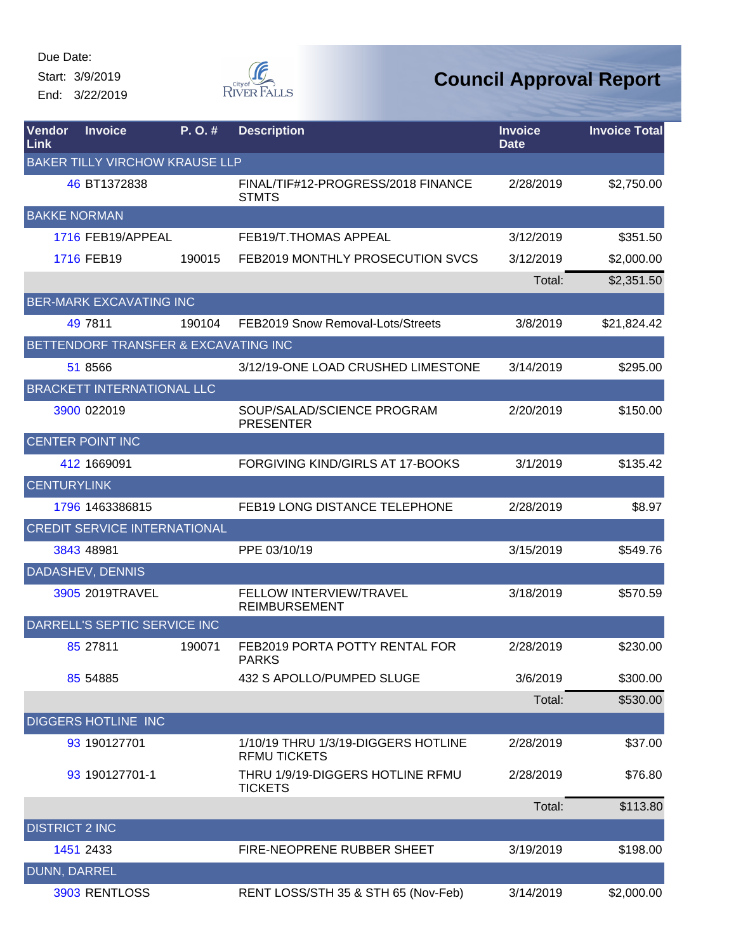Start: 3/9/2019 End: 3/22/2019



| Vendor<br>Link        | <b>Invoice</b>                        | P. O. # | <b>Description</b>                                         | <b>Invoice</b><br><b>Date</b> | <b>Invoice Total</b> |
|-----------------------|---------------------------------------|---------|------------------------------------------------------------|-------------------------------|----------------------|
|                       | <b>BAKER TILLY VIRCHOW KRAUSE LLP</b> |         |                                                            |                               |                      |
|                       | 46 BT1372838                          |         | FINAL/TIF#12-PROGRESS/2018 FINANCE<br><b>STMTS</b>         | 2/28/2019                     | \$2,750.00           |
| <b>BAKKE NORMAN</b>   |                                       |         |                                                            |                               |                      |
|                       | 1716 FEB19/APPEAL                     |         | FEB19/T.THOMAS APPEAL                                      | 3/12/2019                     | \$351.50             |
|                       | 1716 FEB19                            | 190015  | FEB2019 MONTHLY PROSECUTION SVCS                           | 3/12/2019                     | \$2,000.00           |
|                       |                                       |         |                                                            | Total:                        | \$2,351.50           |
|                       | <b>BER-MARK EXCAVATING INC</b>        |         |                                                            |                               |                      |
|                       | 49 7811                               | 190104  | FEB2019 Snow Removal-Lots/Streets                          | 3/8/2019                      | \$21,824.42          |
|                       | BETTENDORF TRANSFER & EXCAVATING INC  |         |                                                            |                               |                      |
|                       | 51 8566                               |         | 3/12/19-ONE LOAD CRUSHED LIMESTONE                         | 3/14/2019                     | \$295.00             |
|                       | <b>BRACKETT INTERNATIONAL LLC</b>     |         |                                                            |                               |                      |
|                       | 3900 022019                           |         | SOUP/SALAD/SCIENCE PROGRAM<br><b>PRESENTER</b>             | 2/20/2019                     | \$150.00             |
|                       | <b>CENTER POINT INC</b>               |         |                                                            |                               |                      |
|                       | 412 1669091                           |         | FORGIVING KIND/GIRLS AT 17-BOOKS                           | 3/1/2019                      | \$135.42             |
| <b>CENTURYLINK</b>    |                                       |         |                                                            |                               |                      |
|                       | 1796 1463386815                       |         | FEB19 LONG DISTANCE TELEPHONE                              | 2/28/2019                     | \$8.97               |
|                       | <b>CREDIT SERVICE INTERNATIONAL</b>   |         |                                                            |                               |                      |
|                       | 3843 48981                            |         | PPE 03/10/19                                               | 3/15/2019                     | \$549.76             |
|                       | DADASHEV, DENNIS                      |         |                                                            |                               |                      |
|                       | 3905 2019TRAVEL                       |         | <b>FELLOW INTERVIEW/TRAVEL</b><br><b>REIMBURSEMENT</b>     | 3/18/2019                     | \$570.59             |
|                       | DARRELL'S SEPTIC SERVICE INC          |         |                                                            |                               |                      |
|                       | 85 27811                              | 190071  | FEB2019 PORTA POTTY RENTAL FOR<br>PARKS                    | 2/28/2019                     | \$230.00             |
|                       | 85 54885                              |         | 432 S APOLLO/PUMPED SLUGE                                  | 3/6/2019                      | \$300.00             |
|                       |                                       |         |                                                            | Total:                        | \$530.00             |
|                       | <b>DIGGERS HOTLINE INC</b>            |         |                                                            |                               |                      |
|                       | 93 190127701                          |         | 1/10/19 THRU 1/3/19-DIGGERS HOTLINE<br><b>RFMU TICKETS</b> | 2/28/2019                     | \$37.00              |
|                       | 93 190127701-1                        |         | THRU 1/9/19-DIGGERS HOTLINE RFMU<br><b>TICKETS</b>         | 2/28/2019                     | \$76.80              |
|                       |                                       |         |                                                            | Total:                        | \$113.80             |
| <b>DISTRICT 2 INC</b> |                                       |         |                                                            |                               |                      |
|                       | 1451 2433                             |         | FIRE-NEOPRENE RUBBER SHEET                                 | 3/19/2019                     | \$198.00             |
| DUNN, DARREL          |                                       |         |                                                            |                               |                      |
|                       | 3903 RENTLOSS                         |         | RENT LOSS/STH 35 & STH 65 (Nov-Feb)                        | 3/14/2019                     | \$2,000.00           |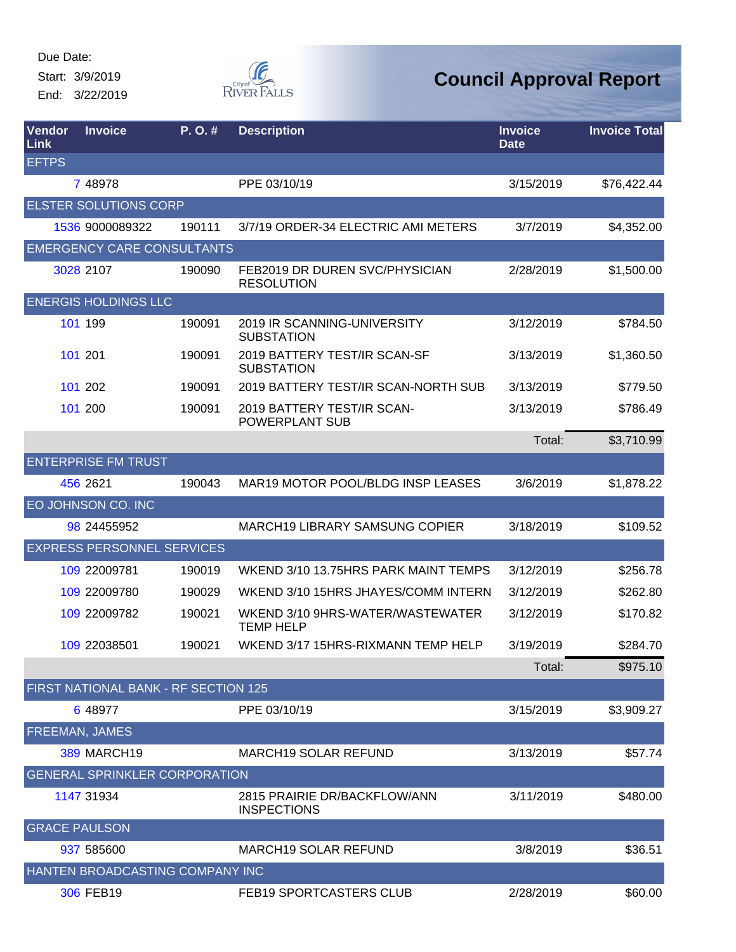Start: 3/9/2019

End: 3/22/2019



| Vendor<br>Link        | <b>Invoice</b>                       | P.O.#  | <b>Description</b>                                   | <b>Invoice</b><br><b>Date</b> | <b>Invoice Total</b> |
|-----------------------|--------------------------------------|--------|------------------------------------------------------|-------------------------------|----------------------|
| <b>EFTPS</b>          |                                      |        |                                                      |                               |                      |
|                       | 7 48978                              |        | PPE 03/10/19                                         | 3/15/2019                     | \$76,422.44          |
|                       | <b>ELSTER SOLUTIONS CORP</b>         |        |                                                      |                               |                      |
|                       | 1536 9000089322                      | 190111 | 3/7/19 ORDER-34 ELECTRIC AMI METERS                  | 3/7/2019                      | \$4,352.00           |
|                       | <b>EMERGENCY CARE CONSULTANTS</b>    |        |                                                      |                               |                      |
|                       | 3028 2107                            | 190090 | FEB2019 DR DUREN SVC/PHYSICIAN<br><b>RESOLUTION</b>  | 2/28/2019                     | \$1,500.00           |
|                       | <b>ENERGIS HOLDINGS LLC</b>          |        |                                                      |                               |                      |
|                       | 101 199                              | 190091 | 2019 IR SCANNING-UNIVERSITY<br><b>SUBSTATION</b>     | 3/12/2019                     | \$784.50             |
|                       | 101 201                              | 190091 | 2019 BATTERY TEST/IR SCAN-SF<br><b>SUBSTATION</b>    | 3/13/2019                     | \$1,360.50           |
|                       | 101 202                              | 190091 | 2019 BATTERY TEST/IR SCAN-NORTH SUB                  | 3/13/2019                     | \$779.50             |
|                       | 101 200                              | 190091 | 2019 BATTERY TEST/IR SCAN-<br><b>POWERPLANT SUB</b>  | 3/13/2019                     | \$786.49             |
|                       |                                      |        |                                                      | Total:                        | \$3,710.99           |
|                       | <b>ENTERPRISE FM TRUST</b>           |        |                                                      |                               |                      |
|                       | 456 2621                             | 190043 | MAR19 MOTOR POOL/BLDG INSP LEASES                    | 3/6/2019                      | \$1,878.22           |
|                       | EO JOHNSON CO. INC                   |        |                                                      |                               |                      |
|                       | 98 24455952                          |        | <b>MARCH19 LIBRARY SAMSUNG COPIER</b>                | 3/18/2019                     | \$109.52             |
|                       | <b>EXPRESS PERSONNEL SERVICES</b>    |        |                                                      |                               |                      |
|                       | 109 22009781                         | 190019 | WKEND 3/10 13.75HRS PARK MAINT TEMPS                 | 3/12/2019                     | \$256.78             |
|                       | 109 22009780                         | 190029 | WKEND 3/10 15HRS JHAYES/COMM INTERN                  | 3/12/2019                     | \$262.80             |
|                       | 109 22009782                         | 190021 | WKEND 3/10 9HRS-WATER/WASTEWATER<br><b>TEMP HELP</b> | 3/12/2019                     | \$170.82             |
|                       | 109 22038501                         | 190021 | WKEND 3/17 15HRS-RIXMANN TEMP HELP                   | 3/19/2019                     | \$284.70             |
|                       |                                      |        |                                                      | Total:                        | \$975.10             |
|                       | FIRST NATIONAL BANK - RF SECTION 125 |        |                                                      |                               |                      |
|                       | 6 48977                              |        | PPE 03/10/19                                         | 3/15/2019                     | \$3,909.27           |
| <b>FREEMAN, JAMES</b> |                                      |        |                                                      |                               |                      |
|                       | <b>389 MARCH19</b>                   |        | MARCH19 SOLAR REFUND                                 | 3/13/2019                     | \$57.74              |
|                       | <b>GENERAL SPRINKLER CORPORATION</b> |        |                                                      |                               |                      |
|                       | 1147 31934                           |        | 2815 PRAIRIE DR/BACKFLOW/ANN<br><b>INSPECTIONS</b>   | 3/11/2019                     | \$480.00             |
| <b>GRACE PAULSON</b>  |                                      |        |                                                      |                               |                      |
|                       | 937 585600                           |        | MARCH19 SOLAR REFUND                                 | 3/8/2019                      | \$36.51              |
|                       | HANTEN BROADCASTING COMPANY INC      |        |                                                      |                               |                      |
|                       | 306 FEB19                            |        | FEB19 SPORTCASTERS CLUB                              | 2/28/2019                     | \$60.00              |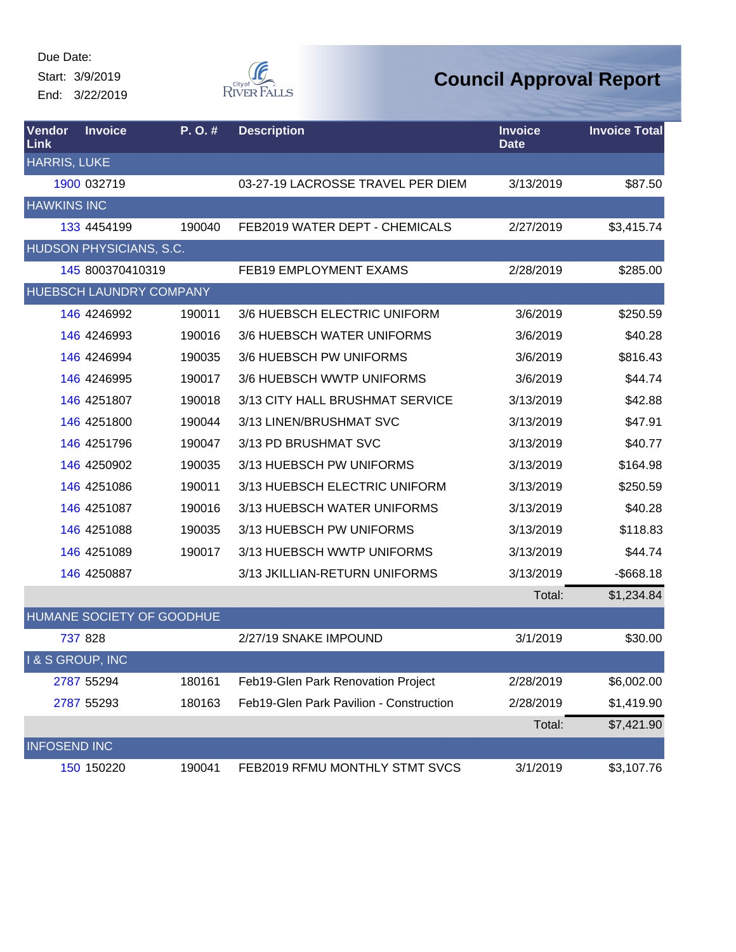Start: 3/9/2019

End: 3/22/2019



| Vendor<br>Link              | <b>Invoice</b>            | P.O.#  | <b>Description</b>                      | <b>Invoice</b><br><b>Date</b> | <b>Invoice Total</b> |
|-----------------------------|---------------------------|--------|-----------------------------------------|-------------------------------|----------------------|
| <b>HARRIS, LUKE</b>         |                           |        |                                         |                               |                      |
|                             | 1900 032719               |        | 03-27-19 LACROSSE TRAVEL PER DIEM       | 3/13/2019                     | \$87.50              |
| <b>HAWKINS INC</b>          |                           |        |                                         |                               |                      |
|                             | 133 4454199               | 190040 | FEB2019 WATER DEPT - CHEMICALS          | 2/27/2019                     | \$3,415.74           |
|                             | HUDSON PHYSICIANS, S.C.   |        |                                         |                               |                      |
|                             | 145 800370410319          |        | FEB19 EMPLOYMENT EXAMS                  | 2/28/2019                     | \$285.00             |
|                             | HUEBSCH LAUNDRY COMPANY   |        |                                         |                               |                      |
|                             | 146 4246992               | 190011 | 3/6 HUEBSCH ELECTRIC UNIFORM            | 3/6/2019                      | \$250.59             |
|                             | 146 4246993               | 190016 | 3/6 HUEBSCH WATER UNIFORMS              | 3/6/2019                      | \$40.28              |
|                             | 146 4246994               | 190035 | 3/6 HUEBSCH PW UNIFORMS                 | 3/6/2019                      | \$816.43             |
|                             | 146 4246995               | 190017 | 3/6 HUEBSCH WWTP UNIFORMS               | 3/6/2019                      | \$44.74              |
|                             | 146 4251807               | 190018 | 3/13 CITY HALL BRUSHMAT SERVICE         | 3/13/2019                     | \$42.88              |
|                             | 146 4251800               | 190044 | 3/13 LINEN/BRUSHMAT SVC                 | 3/13/2019                     | \$47.91              |
|                             | 146 4251796               | 190047 | 3/13 PD BRUSHMAT SVC                    | 3/13/2019                     | \$40.77              |
|                             | 146 4250902               | 190035 | 3/13 HUEBSCH PW UNIFORMS                | 3/13/2019                     | \$164.98             |
|                             | 146 4251086               | 190011 | 3/13 HUEBSCH ELECTRIC UNIFORM           | 3/13/2019                     | \$250.59             |
|                             | 146 4251087               | 190016 | 3/13 HUEBSCH WATER UNIFORMS             | 3/13/2019                     | \$40.28              |
|                             | 146 4251088               | 190035 | 3/13 HUEBSCH PW UNIFORMS                | 3/13/2019                     | \$118.83             |
|                             | 146 4251089               | 190017 | 3/13 HUEBSCH WWTP UNIFORMS              | 3/13/2019                     | \$44.74              |
|                             | 146 4250887               |        | 3/13 JKILLIAN-RETURN UNIFORMS           | 3/13/2019                     | $-$ \$668.18         |
|                             |                           |        |                                         | Total:                        | \$1,234.84           |
|                             | HUMANE SOCIETY OF GOODHUE |        |                                         |                               |                      |
|                             | 737 828                   |        | 2/27/19 SNAKE IMPOUND                   | 3/1/2019                      | \$30.00              |
| <b>I &amp; S GROUP, INC</b> |                           |        |                                         |                               |                      |
|                             | 2787 55294                | 180161 | Feb19-Glen Park Renovation Project      | 2/28/2019                     | \$6,002.00           |
|                             | 2787 55293                | 180163 | Feb19-Glen Park Pavilion - Construction | 2/28/2019                     | \$1,419.90           |
|                             |                           |        |                                         | Total:                        | \$7,421.90           |
| <b>INFOSEND INC</b>         |                           |        |                                         |                               |                      |
|                             | 150 150220                | 190041 | FEB2019 RFMU MONTHLY STMT SVCS          | 3/1/2019                      | \$3,107.76           |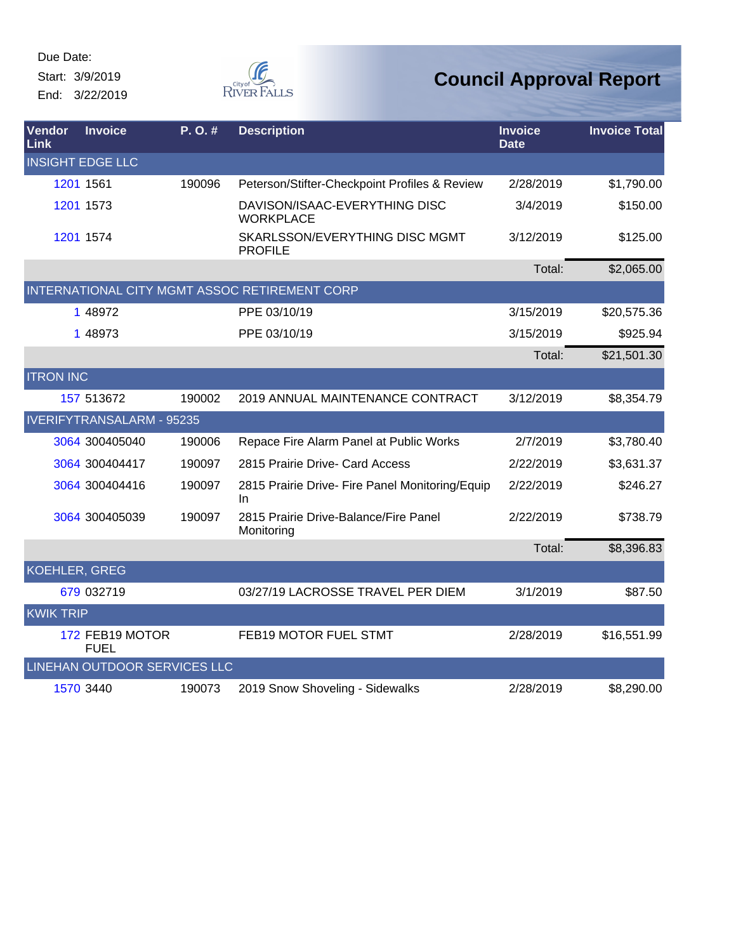Start: 3/9/2019 End: 3/22/2019



| Vendor<br>Link       | <b>Invoice</b>                   | P.O.#  | <b>Description</b>                                     | <b>Invoice</b><br><b>Date</b> | <b>Invoice Total</b> |
|----------------------|----------------------------------|--------|--------------------------------------------------------|-------------------------------|----------------------|
|                      | <b>INSIGHT EDGE LLC</b>          |        |                                                        |                               |                      |
|                      | 1201 1561                        | 190096 | Peterson/Stifter-Checkpoint Profiles & Review          | 2/28/2019                     | \$1,790.00           |
|                      | 1201 1573                        |        | DAVISON/ISAAC-EVERYTHING DISC<br><b>WORKPLACE</b>      | 3/4/2019                      | \$150.00             |
|                      | 1201 1574                        |        | SKARLSSON/EVERYTHING DISC MGMT<br><b>PROFILE</b>       | 3/12/2019                     | \$125.00             |
|                      |                                  |        |                                                        | Total:                        | \$2,065.00           |
|                      |                                  |        | INTERNATIONAL CITY MGMT ASSOC RETIREMENT CORP          |                               |                      |
|                      | 1 48972                          |        | PPE 03/10/19                                           | 3/15/2019                     | \$20,575.36          |
|                      | 1 48973                          |        | PPE 03/10/19                                           | 3/15/2019                     | \$925.94             |
|                      |                                  |        |                                                        | Total:                        | \$21,501.30          |
| <b>ITRON INC</b>     |                                  |        |                                                        |                               |                      |
|                      | 157 513672                       | 190002 | 2019 ANNUAL MAINTENANCE CONTRACT                       | 3/12/2019                     | \$8,354.79           |
|                      | <b>IVERIFYTRANSALARM - 95235</b> |        |                                                        |                               |                      |
|                      | 3064 300405040                   | 190006 | Repace Fire Alarm Panel at Public Works                | 2/7/2019                      | \$3,780.40           |
|                      | 3064 300404417                   | 190097 | 2815 Prairie Drive- Card Access                        | 2/22/2019                     | \$3,631.37           |
|                      | 3064 300404416                   | 190097 | 2815 Prairie Drive- Fire Panel Monitoring/Equip<br>In. | 2/22/2019                     | \$246.27             |
|                      | 3064 300405039                   | 190097 | 2815 Prairie Drive-Balance/Fire Panel<br>Monitoring    | 2/22/2019                     | \$738.79             |
|                      |                                  |        |                                                        | Total:                        | \$8,396.83           |
| <b>KOEHLER, GREG</b> |                                  |        |                                                        |                               |                      |
|                      | 679 032719                       |        | 03/27/19 LACROSSE TRAVEL PER DIEM                      | 3/1/2019                      | \$87.50              |
| <b>KWIK TRIP</b>     |                                  |        |                                                        |                               |                      |
|                      | 172 FEB19 MOTOR<br><b>FUEL</b>   |        | FEB19 MOTOR FUEL STMT                                  | 2/28/2019                     | \$16,551.99          |
|                      | LINEHAN OUTDOOR SERVICES LLC     |        |                                                        |                               |                      |
|                      | 1570 3440                        | 190073 | 2019 Snow Shoveling - Sidewalks                        | 2/28/2019                     | \$8,290.00           |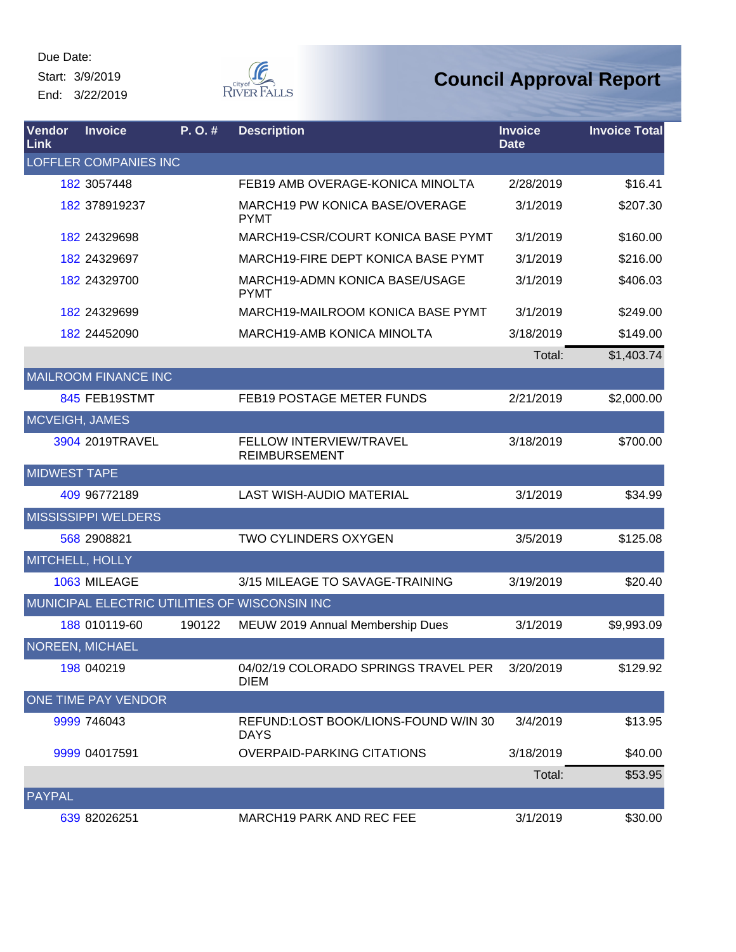Due Date: Start: 3/9/2019

End: 3/22/2019



| Vendor<br>Link      | <b>Invoice</b>               | P.O.#  | <b>Description</b>                                   | <b>Invoice</b><br><b>Date</b> | <b>Invoice Total</b> |
|---------------------|------------------------------|--------|------------------------------------------------------|-------------------------------|----------------------|
|                     | <b>LOFFLER COMPANIES INC</b> |        |                                                      |                               |                      |
|                     | 182 3057448                  |        | FEB19 AMB OVERAGE-KONICA MINOLTA                     | 2/28/2019                     | \$16.41              |
|                     | 182 378919237                |        | <b>MARCH19 PW KONICA BASE/OVERAGE</b><br><b>PYMT</b> | 3/1/2019                      | \$207.30             |
|                     | 182 24329698                 |        | MARCH19-CSR/COURT KONICA BASE PYMT                   | 3/1/2019                      | \$160.00             |
|                     | 182 24329697                 |        | MARCH19-FIRE DEPT KONICA BASE PYMT                   | 3/1/2019                      | \$216.00             |
|                     | 182 24329700                 |        | MARCH19-ADMN KONICA BASE/USAGE<br><b>PYMT</b>        | 3/1/2019                      | \$406.03             |
|                     | 182 24329699                 |        | MARCH19-MAILROOM KONICA BASE PYMT                    | 3/1/2019                      | \$249.00             |
|                     | 182 24452090                 |        | MARCH19-AMB KONICA MINOLTA                           | 3/18/2019                     | \$149.00             |
|                     |                              |        |                                                      | Total:                        | \$1,403.74           |
|                     | <b>MAILROOM FINANCE INC</b>  |        |                                                      |                               |                      |
|                     | 845 FEB19STMT                |        | FEB19 POSTAGE METER FUNDS                            | 2/21/2019                     | \$2,000.00           |
| MCVEIGH, JAMES      |                              |        |                                                      |                               |                      |
|                     | 3904 2019TRAVEL              |        | FELLOW INTERVIEW/TRAVEL<br><b>REIMBURSEMENT</b>      | 3/18/2019                     | \$700.00             |
| <b>MIDWEST TAPE</b> |                              |        |                                                      |                               |                      |
|                     | 409 96772189                 |        | <b>LAST WISH-AUDIO MATERIAL</b>                      | 3/1/2019                      | \$34.99              |
|                     | <b>MISSISSIPPI WELDERS</b>   |        |                                                      |                               |                      |
|                     | 568 2908821                  |        | <b>TWO CYLINDERS OXYGEN</b>                          | 3/5/2019                      | \$125.08             |
| MITCHELL, HOLLY     |                              |        |                                                      |                               |                      |
|                     | 1063 MILEAGE                 |        | 3/15 MILEAGE TO SAVAGE-TRAINING                      | 3/19/2019                     | \$20.40              |
|                     |                              |        | MUNICIPAL ELECTRIC UTILITIES OF WISCONSIN INC        |                               |                      |
|                     | 188 010119-60                | 190122 | MEUW 2019 Annual Membership Dues                     | 3/1/2019                      | \$9,993.09           |
|                     | <b>NOREEN, MICHAEL</b>       |        |                                                      |                               |                      |
|                     | 198 040219                   |        | 04/02/19 COLORADO SPRINGS TRAVEL PER<br><b>DIEM</b>  | 3/20/2019                     | \$129.92             |
|                     | ONE TIME PAY VENDOR          |        |                                                      |                               |                      |
|                     | 9999 746043                  |        | REFUND:LOST BOOK/LIONS-FOUND W/IN 30<br><b>DAYS</b>  | 3/4/2019                      | \$13.95              |
|                     | 9999 04017591                |        | <b>OVERPAID-PARKING CITATIONS</b>                    | 3/18/2019                     | \$40.00              |
|                     |                              |        |                                                      | Total:                        | \$53.95              |
| <b>PAYPAL</b>       |                              |        |                                                      |                               |                      |
|                     | 639 82026251                 |        | MARCH19 PARK AND REC FEE                             | 3/1/2019                      | \$30.00              |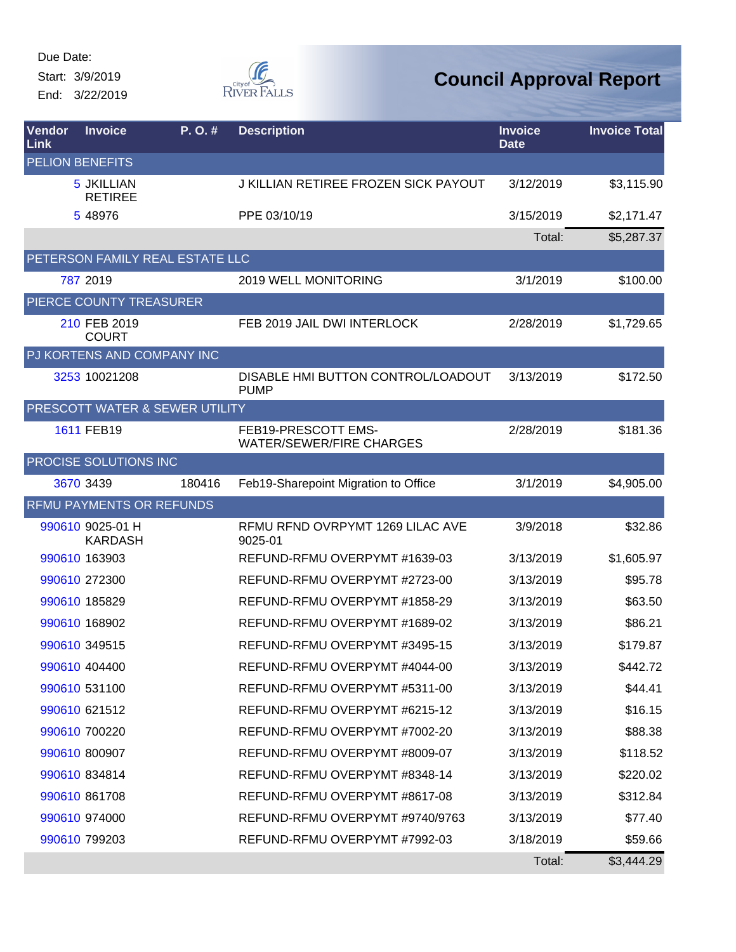Start: 3/9/2019 End: 3/22/2019



| Vendor<br>Link | <b>Invoice</b>                     | P. O. #                         | <b>Description</b>                                     | <b>Invoice</b><br><b>Date</b> | <b>Invoice Total</b> |
|----------------|------------------------------------|---------------------------------|--------------------------------------------------------|-------------------------------|----------------------|
|                | <b>PELION BENEFITS</b>             |                                 |                                                        |                               |                      |
|                | 5 JKILLIAN<br><b>RETIREE</b>       |                                 | J KILLIAN RETIREE FROZEN SICK PAYOUT                   | 3/12/2019                     | \$3,115.90           |
|                | 5 48976                            |                                 | PPE 03/10/19                                           | 3/15/2019                     | \$2,171.47           |
|                |                                    |                                 |                                                        | Total:                        | \$5,287.37           |
|                |                                    | PETERSON FAMILY REAL ESTATE LLC |                                                        |                               |                      |
|                | 787 2019                           |                                 | 2019 WELL MONITORING                                   | 3/1/2019                      | \$100.00             |
|                | PIERCE COUNTY TREASURER            |                                 |                                                        |                               |                      |
|                | 210 FEB 2019<br><b>COURT</b>       |                                 | FEB 2019 JAIL DWI INTERLOCK                            | 2/28/2019                     | \$1,729.65           |
|                |                                    | PJ KORTENS AND COMPANY INC      |                                                        |                               |                      |
|                | 3253 10021208                      |                                 | DISABLE HMI BUTTON CONTROL/LOADOUT<br><b>PUMP</b>      | 3/13/2019                     | \$172.50             |
|                |                                    | PRESCOTT WATER & SEWER UTILITY  |                                                        |                               |                      |
|                | 1611 FEB19                         |                                 | FEB19-PRESCOTT EMS-<br><b>WATER/SEWER/FIRE CHARGES</b> | 2/28/2019                     | \$181.36             |
|                | PROCISE SOLUTIONS INC              |                                 |                                                        |                               |                      |
|                | 3670 3439                          | 180416                          | Feb19-Sharepoint Migration to Office                   | 3/1/2019                      | \$4,905.00           |
|                | RFMU PAYMENTS OR REFUNDS           |                                 |                                                        |                               |                      |
|                | 990610 9025-01 H<br><b>KARDASH</b> |                                 | RFMU RFND OVRPYMT 1269 LILAC AVE<br>9025-01            | 3/9/2018                      | \$32.86              |
|                | 990610 163903                      |                                 | REFUND-RFMU OVERPYMT #1639-03                          | 3/13/2019                     | \$1,605.97           |
|                | 990610 272300                      |                                 | REFUND-RFMU OVERPYMT #2723-00                          | 3/13/2019                     | \$95.78              |
|                | 990610 185829                      |                                 | REFUND-RFMU OVERPYMT #1858-29                          | 3/13/2019                     | \$63.50              |
|                | 990610 168902                      |                                 | REFUND-RFMU OVERPYMT #1689-02                          | 3/13/2019                     | \$86.21              |
|                | 990610 349515                      |                                 | REFUND-RFMU OVERPYMT #3495-15                          | 3/13/2019                     | \$179.87             |
|                | 990610 404400                      |                                 | REFUND-RFMU OVERPYMT #4044-00                          | 3/13/2019                     | \$442.72             |
|                | 990610 531100                      |                                 | REFUND-RFMU OVERPYMT #5311-00                          | 3/13/2019                     | \$44.41              |
|                | 990610 621512                      |                                 | REFUND-RFMU OVERPYMT #6215-12                          | 3/13/2019                     | \$16.15              |
|                | 990610 700220                      |                                 | REFUND-RFMU OVERPYMT #7002-20                          | 3/13/2019                     | \$88.38              |
|                | 990610 800907                      |                                 | REFUND-RFMU OVERPYMT #8009-07                          | 3/13/2019                     | \$118.52             |
|                | 990610 834814                      |                                 | REFUND-RFMU OVERPYMT #8348-14                          | 3/13/2019                     | \$220.02             |
|                | 990610 861708                      |                                 | REFUND-RFMU OVERPYMT #8617-08                          | 3/13/2019                     | \$312.84             |
|                | 990610 974000                      |                                 | REFUND-RFMU OVERPYMT #9740/9763                        | 3/13/2019                     | \$77.40              |
|                | 990610 799203                      |                                 | REFUND-RFMU OVERPYMT #7992-03                          | 3/18/2019                     | \$59.66              |
|                |                                    |                                 |                                                        | Total:                        | \$3,444.29           |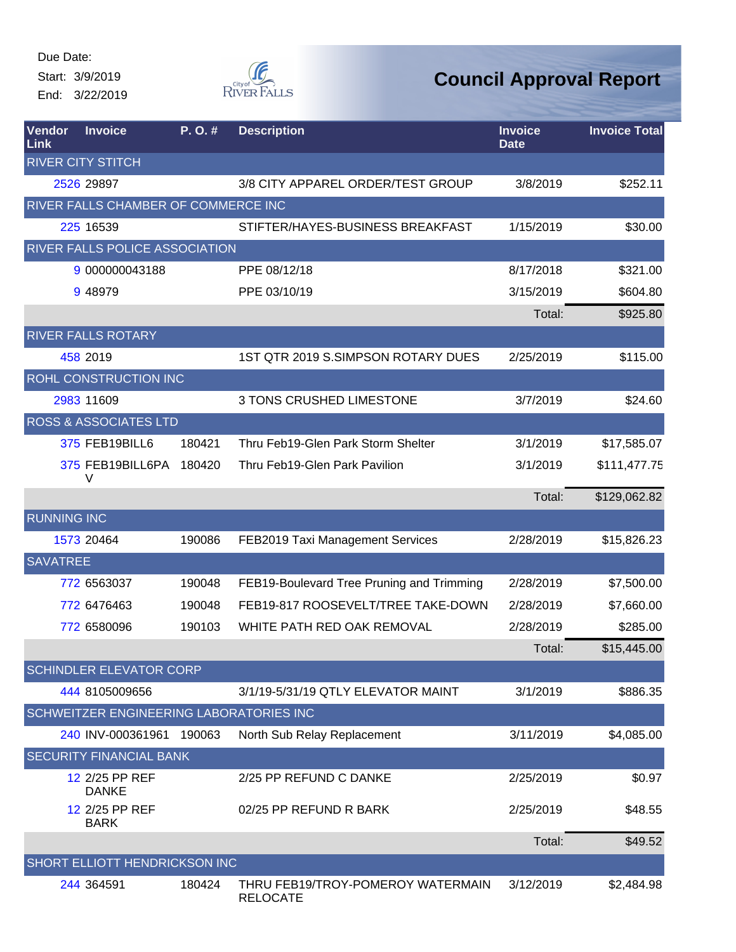Start: 3/9/2019 End: 3/22/2019



| Vendor<br>Link     | <b>Invoice</b>                          | $P. O.$ # | <b>Description</b>                                   | <b>Invoice</b><br><b>Date</b> | <b>Invoice Total</b> |
|--------------------|-----------------------------------------|-----------|------------------------------------------------------|-------------------------------|----------------------|
|                    | <b>RIVER CITY STITCH</b>                |           |                                                      |                               |                      |
|                    | 2526 29897                              |           | 3/8 CITY APPAREL ORDER/TEST GROUP                    | 3/8/2019                      | \$252.11             |
|                    | RIVER FALLS CHAMBER OF COMMERCE INC     |           |                                                      |                               |                      |
|                    | 225 16539                               |           | STIFTER/HAYES-BUSINESS BREAKFAST                     | 1/15/2019                     | \$30.00              |
|                    | RIVER FALLS POLICE ASSOCIATION          |           |                                                      |                               |                      |
|                    | 9 000000043188                          |           | PPE 08/12/18                                         | 8/17/2018                     | \$321.00             |
|                    | 9 48979                                 |           | PPE 03/10/19                                         | 3/15/2019                     | \$604.80             |
|                    |                                         |           |                                                      | Total:                        | \$925.80             |
|                    | <b>RIVER FALLS ROTARY</b>               |           |                                                      |                               |                      |
|                    | 458 2019                                |           | 1ST QTR 2019 S.SIMPSON ROTARY DUES                   | 2/25/2019                     | \$115.00             |
|                    | <b>ROHL CONSTRUCTION INC</b>            |           |                                                      |                               |                      |
|                    | 2983 11609                              |           | 3 TONS CRUSHED LIMESTONE                             | 3/7/2019                      | \$24.60              |
|                    | <b>ROSS &amp; ASSOCIATES LTD</b>        |           |                                                      |                               |                      |
|                    | 375 FEB19BILL6                          | 180421    | Thru Feb19-Glen Park Storm Shelter                   | 3/1/2019                      | \$17,585.07          |
|                    | 375 FEB19BILL6PA<br>V                   | 180420    | Thru Feb19-Glen Park Pavilion                        | 3/1/2019                      | \$111,477.75         |
|                    |                                         |           |                                                      | Total:                        | \$129,062.82         |
| <b>RUNNING INC</b> |                                         |           |                                                      |                               |                      |
|                    | 1573 20464                              | 190086    | FEB2019 Taxi Management Services                     | 2/28/2019                     | \$15,826.23          |
| <b>SAVATREE</b>    |                                         |           |                                                      |                               |                      |
|                    | 772 6563037                             | 190048    | FEB19-Boulevard Tree Pruning and Trimming            | 2/28/2019                     | \$7,500.00           |
|                    | 772 6476463                             | 190048    | FEB19-817 ROOSEVELT/TREE TAKE-DOWN                   | 2/28/2019                     | \$7,660.00           |
|                    | 772 6580096                             | 190103    | WHITE PATH RED OAK REMOVAL                           | 2/28/2019                     | \$285.00             |
|                    |                                         |           |                                                      | Total:                        | \$15,445.00          |
|                    | <b>SCHINDLER ELEVATOR CORP</b>          |           |                                                      |                               |                      |
|                    | 444 8105009656                          |           | 3/1/19-5/31/19 QTLY ELEVATOR MAINT                   | 3/1/2019                      | \$886.35             |
|                    | SCHWEITZER ENGINEERING LABORATORIES INC |           |                                                      |                               |                      |
|                    | 240 INV-000361961 190063                |           | North Sub Relay Replacement                          | 3/11/2019                     | \$4,085.00           |
|                    | <b>SECURITY FINANCIAL BANK</b>          |           |                                                      |                               |                      |
|                    | 12 2/25 PP REF<br><b>DANKE</b>          |           | 2/25 PP REFUND C DANKE                               | 2/25/2019                     | \$0.97               |
|                    | 12 2/25 PP REF<br><b>BARK</b>           |           | 02/25 PP REFUND R BARK                               | 2/25/2019                     | \$48.55              |
|                    |                                         |           |                                                      | Total:                        | \$49.52              |
|                    | <b>SHORT ELLIOTT HENDRICKSON INC</b>    |           |                                                      |                               |                      |
|                    | 244 364591                              | 180424    | THRU FEB19/TROY-POMEROY WATERMAIN<br><b>RELOCATE</b> | 3/12/2019                     | \$2,484.98           |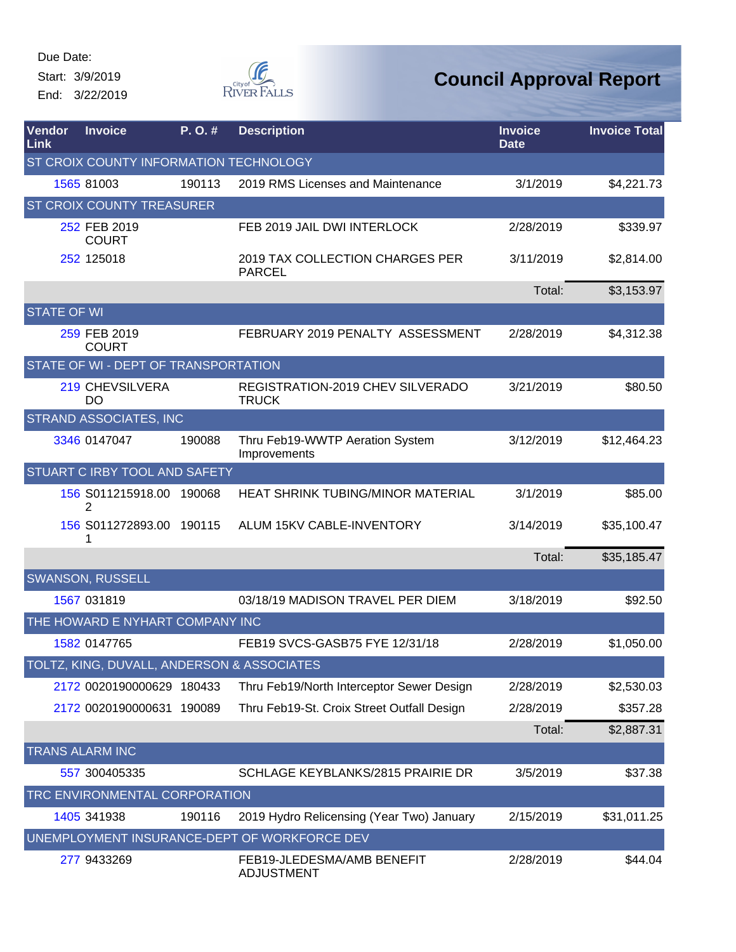Start: 3/9/2019 End: 3/22/2019



| Vendor<br>Link         | <b>Invoice</b>                             | P.O.#  | <b>Description</b>                               | <b>Invoice</b><br><b>Date</b> | <b>Invoice Total</b> |
|------------------------|--------------------------------------------|--------|--------------------------------------------------|-------------------------------|----------------------|
|                        | ST CROIX COUNTY INFORMATION TECHNOLOGY     |        |                                                  |                               |                      |
|                        | 1565 81003                                 | 190113 | 2019 RMS Licenses and Maintenance                | 3/1/2019                      | \$4,221.73           |
|                        | <b>ST CROIX COUNTY TREASURER</b>           |        |                                                  |                               |                      |
|                        | 252 FEB 2019<br><b>COURT</b>               |        | FEB 2019 JAIL DWI INTERLOCK                      | 2/28/2019                     | \$339.97             |
|                        | 252 125018                                 |        | 2019 TAX COLLECTION CHARGES PER<br><b>PARCEL</b> | 3/11/2019                     | \$2,814.00           |
|                        |                                            |        |                                                  | Total:                        | \$3,153.97           |
| <b>STATE OF WI</b>     |                                            |        |                                                  |                               |                      |
|                        | 259 FEB 2019<br><b>COURT</b>               |        | FEBRUARY 2019 PENALTY ASSESSMENT                 | 2/28/2019                     | \$4,312.38           |
|                        | STATE OF WI - DEPT OF TRANSPORTATION       |        |                                                  |                               |                      |
|                        | 219 CHEVSILVERA<br>DO                      |        | REGISTRATION-2019 CHEV SILVERADO<br><b>TRUCK</b> | 3/21/2019                     | \$80.50              |
|                        | <b>STRAND ASSOCIATES, INC</b>              |        |                                                  |                               |                      |
|                        | 3346 0147047                               | 190088 | Thru Feb19-WWTP Aeration System<br>Improvements  | 3/12/2019                     | \$12,464.23          |
|                        | <b>STUART C IRBY TOOL AND SAFETY</b>       |        |                                                  |                               |                      |
|                        | 156 S011215918.00<br>2                     | 190068 | <b>HEAT SHRINK TUBING/MINOR MATERIAL</b>         | 3/1/2019                      | \$85.00              |
|                        | 156 S011272893.00 190115<br>1              |        | ALUM 15KV CABLE-INVENTORY                        | 3/14/2019                     | \$35,100.47          |
|                        |                                            |        |                                                  | Total:                        | \$35,185.47          |
|                        | <b>SWANSON, RUSSELL</b>                    |        |                                                  |                               |                      |
|                        | 1567 031819                                |        | 03/18/19 MADISON TRAVEL PER DIEM                 | 3/18/2019                     | \$92.50              |
|                        | THE HOWARD E NYHART COMPANY INC            |        |                                                  |                               |                      |
|                        | 1582 0147765                               |        | FEB19 SVCS-GASB75 FYE 12/31/18                   | 2/28/2019                     | \$1,050.00           |
|                        | TOLTZ, KING, DUVALL, ANDERSON & ASSOCIATES |        |                                                  |                               |                      |
|                        | 2172 0020190000629 180433                  |        | Thru Feb19/North Interceptor Sewer Design        | 2/28/2019                     | \$2,530.03           |
|                        | 2172 0020190000631 190089                  |        | Thru Feb19-St. Croix Street Outfall Design       | 2/28/2019                     | \$357.28             |
|                        |                                            |        |                                                  | Total:                        | \$2,887.31           |
| <b>TRANS ALARM INC</b> |                                            |        |                                                  |                               |                      |
|                        | 557 300405335                              |        | SCHLAGE KEYBLANKS/2815 PRAIRIE DR                | 3/5/2019                      | \$37.38              |
|                        | TRC ENVIRONMENTAL CORPORATION              |        |                                                  |                               |                      |
|                        | 1405 341938                                | 190116 | 2019 Hydro Relicensing (Year Two) January        | 2/15/2019                     | \$31,011.25          |
|                        |                                            |        | UNEMPLOYMENT INSURANCE-DEPT OF WORKFORCE DEV     |                               |                      |
|                        | 277 9433269                                |        | FEB19-JLEDESMA/AMB BENEFIT<br><b>ADJUSTMENT</b>  | 2/28/2019                     | \$44.04              |